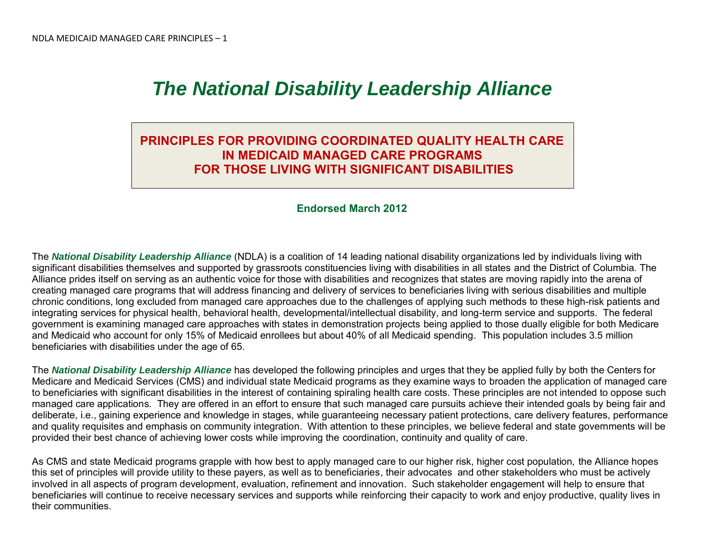## *The National Disability Leadership Alliance*

## **PRINCIPLES FOR PROVIDING COORDINATED QUALITY HEALTH CARE IN MEDICAID MANAGED CARE PROGRAMS FOR THOSE LIVING WITH SIGNIFICANT DISABILITIES**

## **Endorsed March 2012**

The *National Disability Leadership Alliance* (NDLA) is a coalition of 14 leading national disability organizations led by individuals living with significant disabilities themselves and supported by grassroots constituencies living with disabilities in all states and the District of Columbia. The Alliance prides itself on serving as an authentic voice for those with disabilities and recognizes that states are moving rapidly into the arena of creating managed care programs that will address financing and delivery of services to beneficiaries living with serious disabilities and multiple chronic conditions, long excluded from managed care approaches due to the challenges of applying such methods to these high-risk patients and integrating services for physical health, behavioral health, developmental/intellectual disability, and long-term service and supports. The federal government is examining managed care approaches with states in demonstration projects being applied to those dually eligible for both Medicare and Medicaid who account for only 15% of Medicaid enrollees but about 40% of all Medicaid spending. This population includes 3.5 million beneficiaries with disabilities under the age of 65.

The *National Disability Leadership Alliance* has developed the following principles and urges that they be applied fully by both the Centers for Medicare and Medicaid Services (CMS) and individual state Medicaid programs as they examine ways to broaden the application of managed care to beneficiaries with significant disabilities in the interest of containing spiraling health care costs. These principles are not intended to oppose such managed care applications. They are offered in an effort to ensure that such managed care pursuits achieve their intended goals by being fair and deliberate, i.e., gaining experience and knowledge in stages, while guaranteeing necessary patient protections, care delivery features, performance and quality requisites and emphasis on community integration. With attention to these principles, we believe federal and state governments will be provided their best chance of achieving lower costs while improving the coordination, continuity and quality of care.

As CMS and state Medicaid programs grapple with how best to apply managed care to our higher risk, higher cost population, the Alliance hopes this set of principles will provide utility to these payers, as well as to beneficiaries, their advocates and other stakeholders who must be actively involved in all aspects of program development, evaluation, refinement and innovation. Such stakeholder engagement will help to ensure that beneficiaries will continue to receive necessary services and supports while reinforcing their capacity to work and enjoy productive, quality lives in their communities.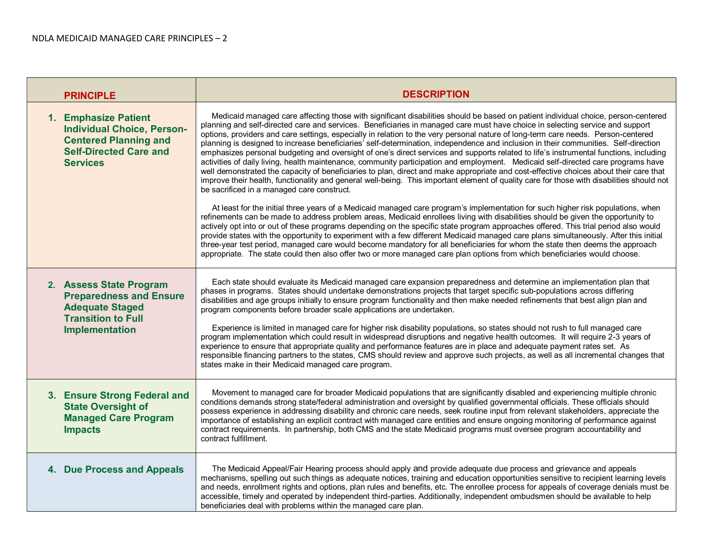| <b>PRINCIPLE</b>                                                                                                                              | <b>DESCRIPTION</b>                                                                                                                                                                                                                                                                                                                                                                                                                                                                                                                                                                                                                                                                                                                                                                                                                                                                                                                                                                                                                                                                                                                                                                                                                                                                                                                                                                                                                                                                                                                                                                                                                                                                                                                                                                                                                                                                                                                                                                   |
|-----------------------------------------------------------------------------------------------------------------------------------------------|--------------------------------------------------------------------------------------------------------------------------------------------------------------------------------------------------------------------------------------------------------------------------------------------------------------------------------------------------------------------------------------------------------------------------------------------------------------------------------------------------------------------------------------------------------------------------------------------------------------------------------------------------------------------------------------------------------------------------------------------------------------------------------------------------------------------------------------------------------------------------------------------------------------------------------------------------------------------------------------------------------------------------------------------------------------------------------------------------------------------------------------------------------------------------------------------------------------------------------------------------------------------------------------------------------------------------------------------------------------------------------------------------------------------------------------------------------------------------------------------------------------------------------------------------------------------------------------------------------------------------------------------------------------------------------------------------------------------------------------------------------------------------------------------------------------------------------------------------------------------------------------------------------------------------------------------------------------------------------------|
| 1. Emphasize Patient<br><b>Individual Choice, Person-</b><br><b>Centered Planning and</b><br><b>Self-Directed Care and</b><br><b>Services</b> | Medicaid managed care affecting those with significant disabilities should be based on patient individual choice, person-centered<br>planning and self-directed care and services. Beneficiaries in managed care must have choice in selecting service and support<br>options, providers and care settings, especially in relation to the very personal nature of long-term care needs. Person-centered<br>planning is designed to increase beneficiaries' self-determination, independence and inclusion in their communities. Self-direction<br>emphasizes personal budgeting and oversight of one's direct services and supports related to life's instrumental functions, including<br>activities of daily living, health maintenance, community participation and employment. Medicaid self-directed care programs have<br>well demonstrated the capacity of beneficiaries to plan, direct and make appropriate and cost-effective choices about their care that<br>improve their health, functionality and general well-being. This important element of quality care for those with disabilities should not<br>be sacrificed in a managed care construct.<br>At least for the initial three years of a Medicaid managed care program's implementation for such higher risk populations, when<br>refinements can be made to address problem areas, Medicaid enrollees living with disabilities should be given the opportunity to<br>actively opt into or out of these programs depending on the specific state program approaches offered. This trial period also would<br>provide states with the opportunity to experiment with a few different Medicaid managed care plans simultaneously. After this initial<br>three-year test period, managed care would become mandatory for all beneficiaries for whom the state then deems the approach<br>appropriate. The state could then also offer two or more managed care plan options from which beneficiaries would choose. |
| 2. Assess State Program<br><b>Preparedness and Ensure</b><br><b>Adequate Staged</b><br><b>Transition to Full</b><br><b>Implementation</b>     | Each state should evaluate its Medicaid managed care expansion preparedness and determine an implementation plan that<br>phases in programs. States should undertake demonstrations projects that target specific sub-populations across differing<br>disabilities and age groups initially to ensure program functionality and then make needed refinements that best align plan and<br>program components before broader scale applications are undertaken.<br>Experience is limited in managed care for higher risk disability populations, so states should not rush to full managed care<br>program implementation which could result in widespread disruptions and negative health outcomes. It will require 2-3 years of<br>experience to ensure that appropriate quality and performance features are in place and adequate payment rates set. As<br>responsible financing partners to the states, CMS should review and approve such projects, as well as all incremental changes that<br>states make in their Medicaid managed care program.                                                                                                                                                                                                                                                                                                                                                                                                                                                                                                                                                                                                                                                                                                                                                                                                                                                                                                                               |
| 3. Ensure Strong Federal and<br><b>State Oversight of</b><br><b>Managed Care Program</b><br><b>Impacts</b>                                    | Movement to managed care for broader Medicaid populations that are significantly disabled and experiencing multiple chronic<br>conditions demands strong state/federal administration and oversight by qualified governmental officials. These officials should<br>possess experience in addressing disability and chronic care needs, seek routine input from relevant stakeholders, appreciate the<br>importance of establishing an explicit contract with managed care entities and ensure ongoing monitoring of performance against<br>contract requirements. In partnership, both CMS and the state Medicaid programs must oversee program accountability and<br>contract fulfillment.                                                                                                                                                                                                                                                                                                                                                                                                                                                                                                                                                                                                                                                                                                                                                                                                                                                                                                                                                                                                                                                                                                                                                                                                                                                                                          |
| 4. Due Process and Appeals                                                                                                                    | The Medicaid Appeal/Fair Hearing process should apply and provide adequate due process and grievance and appeals<br>mechanisms, spelling out such things as adequate notices, training and education opportunities sensitive to recipient learning levels<br>and needs, enrollment rights and options, plan rules and benefits, etc. The enrollee process for appeals of coverage denials must be<br>accessible, timely and operated by independent third-parties. Additionally, independent ombudsmen should be available to help<br>beneficiaries deal with problems within the managed care plan.                                                                                                                                                                                                                                                                                                                                                                                                                                                                                                                                                                                                                                                                                                                                                                                                                                                                                                                                                                                                                                                                                                                                                                                                                                                                                                                                                                                 |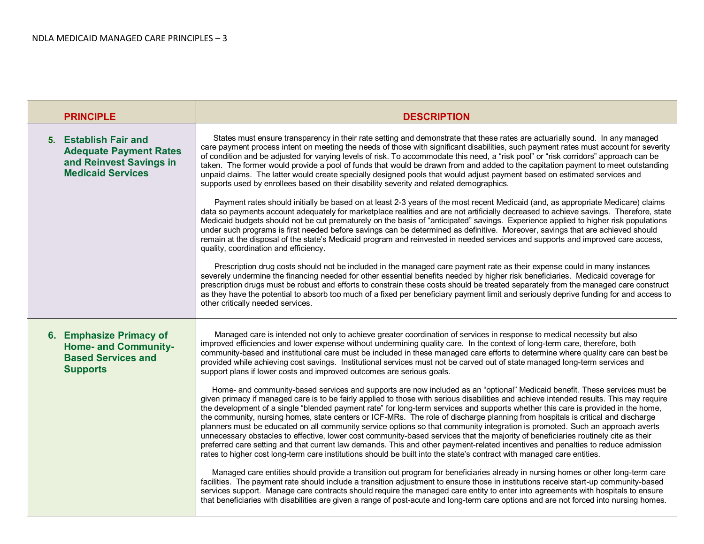| <b>PRINCIPLE</b>                                                                                              | <b>DESCRIPTION</b>                                                                                                                                                                                                                                                                                                                                                                                                                                                                                                                                                                                                                                                                                                                                                                                                                                                                                                                                                                                                                                                                 |
|---------------------------------------------------------------------------------------------------------------|------------------------------------------------------------------------------------------------------------------------------------------------------------------------------------------------------------------------------------------------------------------------------------------------------------------------------------------------------------------------------------------------------------------------------------------------------------------------------------------------------------------------------------------------------------------------------------------------------------------------------------------------------------------------------------------------------------------------------------------------------------------------------------------------------------------------------------------------------------------------------------------------------------------------------------------------------------------------------------------------------------------------------------------------------------------------------------|
| 5. Establish Fair and<br><b>Adequate Payment Rates</b><br>and Reinvest Savings in<br><b>Medicaid Services</b> | States must ensure transparency in their rate setting and demonstrate that these rates are actuarially sound. In any managed<br>care payment process intent on meeting the needs of those with significant disabilities, such payment rates must account for severity<br>of condition and be adjusted for varying levels of risk. To accommodate this need, a "risk pool" or "risk corridors" approach can be<br>taken. The former would provide a pool of funds that would be drawn from and added to the capitation payment to meet outstanding<br>unpaid claims. The latter would create specially designed pools that would adjust payment based on estimated services and<br>supports used by enrollees based on their disability severity and related demographics.                                                                                                                                                                                                                                                                                                          |
|                                                                                                               | Payment rates should initially be based on at least 2-3 years of the most recent Medicaid (and, as appropriate Medicare) claims<br>data so payments account adequately for marketplace realities and are not artificially decreased to achieve savings. Therefore, state<br>Medicaid budgets should not be cut prematurely on the basis of "anticipated" savings. Experience applied to higher risk populations<br>under such programs is first needed before savings can be determined as definitive. Moreover, savings that are achieved should<br>remain at the disposal of the state's Medicaid program and reinvested in needed services and supports and improved care access,<br>quality, coordination and efficiency.                                                                                                                                                                                                                                                                                                                                                      |
|                                                                                                               | Prescription drug costs should not be included in the managed care payment rate as their expense could in many instances<br>severely undermine the financing needed for other essential benefits needed by higher risk beneficiaries. Medicaid coverage for<br>prescription drugs must be robust and efforts to constrain these costs should be treated separately from the managed care construct<br>as they have the potential to absorb too much of a fixed per beneficiary payment limit and seriously deprive funding for and access to<br>other critically needed services.                                                                                                                                                                                                                                                                                                                                                                                                                                                                                                  |
| 6. Emphasize Primacy of<br><b>Home- and Community-</b><br><b>Based Services and</b><br><b>Supports</b>        | Managed care is intended not only to achieve greater coordination of services in response to medical necessity but also<br>improved efficiencies and lower expense without undermining quality care. In the context of long-term care, therefore, both<br>community-based and institutional care must be included in these managed care efforts to determine where quality care can best be<br>provided while achieving cost savings. Institutional services must not be carved out of state managed long-term services and<br>support plans if lower costs and improved outcomes are serious goals.                                                                                                                                                                                                                                                                                                                                                                                                                                                                               |
|                                                                                                               | Home- and community-based services and supports are now included as an "optional" Medicaid benefit. These services must be<br>given primacy if managed care is to be fairly applied to those with serious disabilities and achieve intended results. This may require<br>the development of a single "blended payment rate" for long-term services and supports whether this care is provided in the home,<br>the community, nursing homes, state centers or ICF-MRs. The role of discharge planning from hospitals is critical and discharge<br>planners must be educated on all community service options so that community integration is promoted. Such an approach averts<br>unnecessary obstacles to effective, lower cost community-based services that the majority of beneficiaries routinely cite as their<br>preferred care setting and that current law demands. This and other payment-related incentives and penalties to reduce admission<br>rates to higher cost long-term care institutions should be built into the state's contract with managed care entities. |
|                                                                                                               | Managed care entities should provide a transition out program for beneficiaries already in nursing homes or other long-term care<br>facilities. The payment rate should include a transition adjustment to ensure those in institutions receive start-up community-based<br>services support. Manage care contracts should require the managed care entity to enter into agreements with hospitals to ensure<br>that beneficiaries with disabilities are given a range of post-acute and long-term care options and are not forced into nursing homes.                                                                                                                                                                                                                                                                                                                                                                                                                                                                                                                             |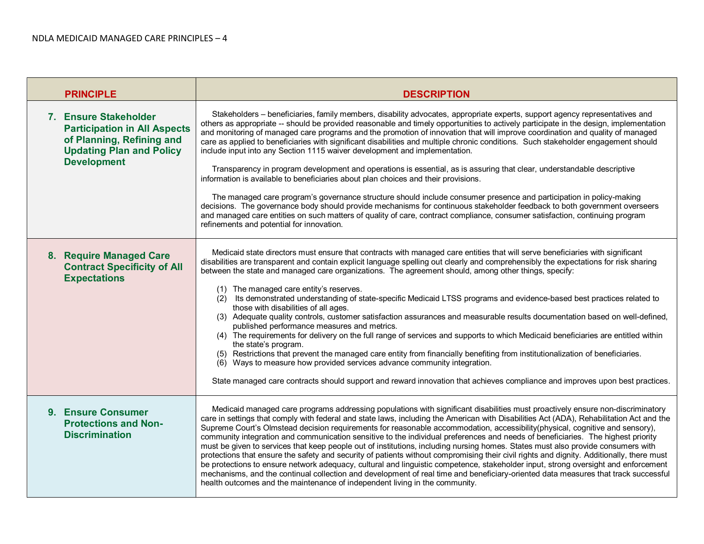| <b>PRINCIPLE</b>                                                                                                                                   | <b>DESCRIPTION</b>                                                                                                                                                                                                                                                                                                                                                                                                                                                                                                                                                                                                                                                                                                                                                                                                                                                                                                                                                                                                                                                                                                                                                                                                                                                                  |
|----------------------------------------------------------------------------------------------------------------------------------------------------|-------------------------------------------------------------------------------------------------------------------------------------------------------------------------------------------------------------------------------------------------------------------------------------------------------------------------------------------------------------------------------------------------------------------------------------------------------------------------------------------------------------------------------------------------------------------------------------------------------------------------------------------------------------------------------------------------------------------------------------------------------------------------------------------------------------------------------------------------------------------------------------------------------------------------------------------------------------------------------------------------------------------------------------------------------------------------------------------------------------------------------------------------------------------------------------------------------------------------------------------------------------------------------------|
| 7. Ensure Stakeholder<br><b>Participation in All Aspects</b><br>of Planning, Refining and<br><b>Updating Plan and Policy</b><br><b>Development</b> | Stakeholders – beneficiaries, family members, disability advocates, appropriate experts, support agency representatives and<br>others as appropriate -- should be provided reasonable and timely opportunities to actively participate in the design, implementation<br>and monitoring of managed care programs and the promotion of innovation that will improve coordination and quality of managed<br>care as applied to beneficiaries with significant disabilities and multiple chronic conditions. Such stakeholder engagement should<br>include input into any Section 1115 waiver development and implementation.<br>Transparency in program development and operations is essential, as is assuring that clear, understandable descriptive<br>information is available to beneficiaries about plan choices and their provisions.<br>The managed care program's governance structure should include consumer presence and participation in policy-making<br>decisions. The governance body should provide mechanisms for continuous stakeholder feedback to both government overseers<br>and managed care entities on such matters of quality of care, contract compliance, consumer satisfaction, continuing program<br>refinements and potential for innovation.          |
| 8. Require Managed Care<br><b>Contract Specificity of All</b><br><b>Expectations</b>                                                               | Medicaid state directors must ensure that contracts with managed care entities that will serve beneficiaries with significant<br>disabilities are transparent and contain explicit language spelling out clearly and comprehensibly the expectations for risk sharing<br>between the state and managed care organizations. The agreement should, among other things, specify:<br>(1) The managed care entity's reserves.<br>(2) Its demonstrated understanding of state-specific Medicaid LTSS programs and evidence-based best practices related to<br>those with disabilities of all ages.<br>(3) Adequate quality controls, customer satisfaction assurances and measurable results documentation based on well-defined,<br>published performance measures and metrics.<br>(4) The requirements for delivery on the full range of services and supports to which Medicaid beneficiaries are entitled within<br>the state's program.<br>(5) Restrictions that prevent the managed care entity from financially benefiting from institutionalization of beneficiaries.<br>(6) Ways to measure how provided services advance community integration.<br>State managed care contracts should support and reward innovation that achieves compliance and improves upon best practices. |
| 9. Ensure Consumer<br><b>Protections and Non-</b><br><b>Discrimination</b>                                                                         | Medicaid managed care programs addressing populations with significant disabilities must proactively ensure non-discriminatory<br>care in settings that comply with federal and state laws, including the American with Disabilities Act (ADA), Rehabilitation Act and the<br>Supreme Court's Olmstead decision requirements for reasonable accommodation, accessibility(physical, cognitive and sensory),<br>community integration and communication sensitive to the individual preferences and needs of beneficiaries. The highest priority<br>must be given to services that keep people out of institutions, including nursing homes. States must also provide consumers with<br>protections that ensure the safety and security of patients without compromising their civil rights and dignity. Additionally, there must<br>be protections to ensure network adequacy, cultural and linguistic competence, stakeholder input, strong oversight and enforcement<br>mechanisms, and the continual collection and development of real time and beneficiary-oriented data measures that track successful<br>health outcomes and the maintenance of independent living in the community.                                                                                          |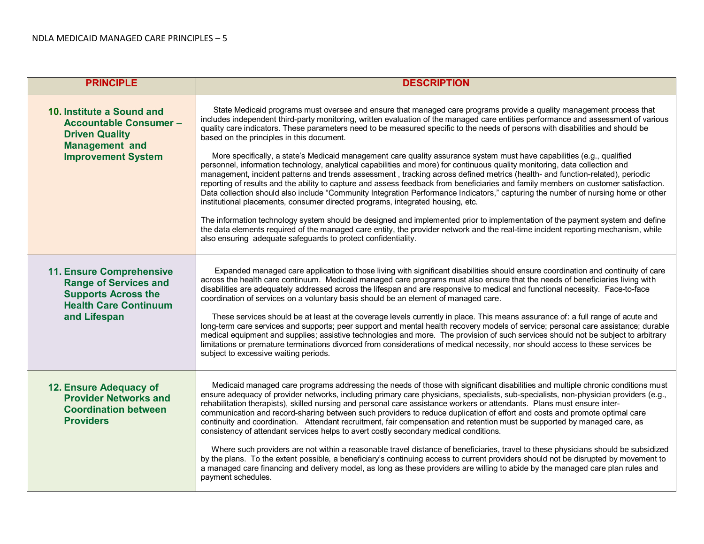| <b>PRINCIPLE</b>                                                                                                                              | <b>DESCRIPTION</b>                                                                                                                                                                                                                                                                                                                                                                                                                                                                                                                                                                                                                                                                                                                                                                                                                                                                                                                                                                                                                                                                                                                                                                                                                                                                                                                                                                                                                                                                                                                       |
|-----------------------------------------------------------------------------------------------------------------------------------------------|------------------------------------------------------------------------------------------------------------------------------------------------------------------------------------------------------------------------------------------------------------------------------------------------------------------------------------------------------------------------------------------------------------------------------------------------------------------------------------------------------------------------------------------------------------------------------------------------------------------------------------------------------------------------------------------------------------------------------------------------------------------------------------------------------------------------------------------------------------------------------------------------------------------------------------------------------------------------------------------------------------------------------------------------------------------------------------------------------------------------------------------------------------------------------------------------------------------------------------------------------------------------------------------------------------------------------------------------------------------------------------------------------------------------------------------------------------------------------------------------------------------------------------------|
| 10. Institute a Sound and<br><b>Accountable Consumer -</b><br><b>Driven Quality</b><br><b>Management and</b><br><b>Improvement System</b>     | State Medicaid programs must oversee and ensure that managed care programs provide a quality management process that<br>includes independent third-party monitoring, written evaluation of the managed care entities performance and assessment of various<br>quality care indicators. These parameters need to be measured specific to the needs of persons with disabilities and should be<br>based on the principles in this document.<br>More specifically, a state's Medicaid management care quality assurance system must have capabilities (e.g., qualified<br>personnel, information technology, analytical capabilities and more) for continuous quality monitoring, data collection and<br>management, incident patterns and trends assessment, tracking across defined metrics (health- and function-related), periodic<br>reporting of results and the ability to capture and assess feedback from beneficiaries and family members on customer satisfaction.<br>Data collection should also include "Community Integration Performance Indicators," capturing the number of nursing home or other<br>institutional placements, consumer directed programs, integrated housing, etc.<br>The information technology system should be designed and implemented prior to implementation of the payment system and define<br>the data elements required of the managed care entity, the provider network and the real-time incident reporting mechanism, while<br>also ensuring adequate safeguards to protect confidentiality. |
| <b>11. Ensure Comprehensive</b><br><b>Range of Services and</b><br><b>Supports Across the</b><br><b>Health Care Continuum</b><br>and Lifespan | Expanded managed care application to those living with significant disabilities should ensure coordination and continuity of care<br>across the health care continuum. Medicaid managed care programs must also ensure that the needs of beneficiaries living with<br>disabilities are adequately addressed across the lifespan and are responsive to medical and functional necessity. Face-to-face<br>coordination of services on a voluntary basis should be an element of managed care.<br>These services should be at least at the coverage levels currently in place. This means assurance of: a full range of acute and<br>long-term care services and supports; peer support and mental health recovery models of service; personal care assistance; durable<br>medical equipment and supplies; assistive technologies and more. The provision of such services should not be subject to arbitrary<br>limitations or premature terminations divorced from considerations of medical necessity, nor should access to these services be<br>subject to excessive waiting periods.                                                                                                                                                                                                                                                                                                                                                                                                                                                   |
| 12. Ensure Adequacy of<br><b>Provider Networks and</b><br><b>Coordination between</b><br><b>Providers</b>                                     | Medicaid managed care programs addressing the needs of those with significant disabilities and multiple chronic conditions must<br>ensure adequacy of provider networks, including primary care physicians, specialists, sub-specialists, non-physician providers (e.g.,<br>rehabilitation therapists), skilled nursing and personal care assistance workers or attendants. Plans must ensure inter-<br>communication and record-sharing between such providers to reduce duplication of effort and costs and promote optimal care<br>continuity and coordination. Attendant recruitment, fair compensation and retention must be supported by managed care, as<br>consistency of attendant services helps to avert costly secondary medical conditions.<br>Where such providers are not within a reasonable travel distance of beneficiaries, travel to these physicians should be subsidized<br>by the plans. To the extent possible, a beneficiary's continuing access to current providers should not be disrupted by movement to<br>a managed care financing and delivery model, as long as these providers are willing to abide by the managed care plan rules and<br>payment schedules.                                                                                                                                                                                                                                                                                                                                           |